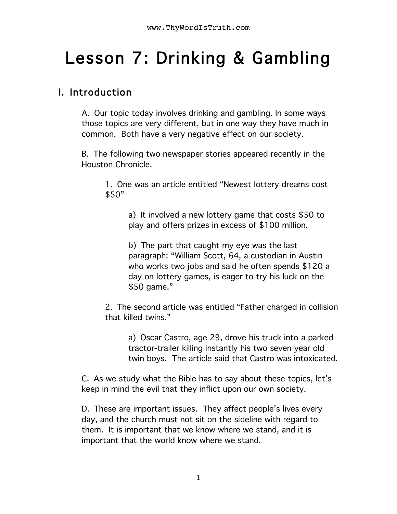# Lesson 7: Drinking & Gambling

### I. Introduction

A. Our topic today involves drinking and gambling. In some ways those topics are very different, but in one way they have much in common. Both have a very negative effect on our society.

B. The following two newspaper stories appeared recently in the Houston Chronicle.

1. One was an article entitled "Newest lottery dreams cost \$50"

> a) It involved a new lottery game that costs \$50 to play and offers prizes in excess of \$100 million.

b) The part that caught my eye was the last paragraph: "William Scott, 64, a custodian in Austin who works two jobs and said he often spends \$120 a day on lottery games, is eager to try his luck on the \$50 game."

2. The second article was entitled "Father charged in collision that killed twins."

a) Oscar Castro, age 29, drove his truck into a parked tractor-trailer killing instantly his two seven year old twin boys. The article said that Castro was intoxicated.

C. As we study what the Bible has to say about these topics, let's keep in mind the evil that they inflict upon our own society.

D. These are important issues. They affect people's lives every day, and the church must not sit on the sideline with regard to them. It is important that we know where we stand, and it is important that the world know where we stand.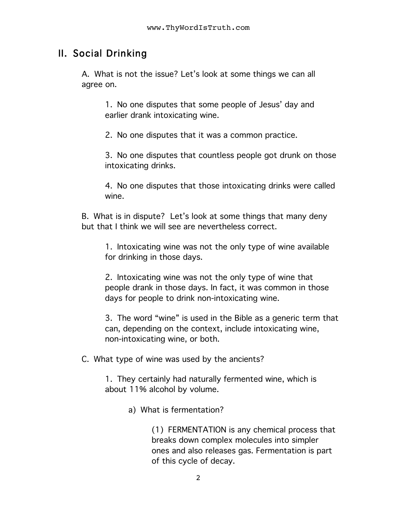## II. Social Drinking

A. What is not the issue? Let's look at some things we can all agree on.

1. No one disputes that some people of Jesus' day and earlier drank intoxicating wine.

2. No one disputes that it was a common practice.

3. No one disputes that countless people got drunk on those intoxicating drinks.

4. No one disputes that those intoxicating drinks were called wine.

B. What is in dispute? Let's look at some things that many deny but that I think we will see are nevertheless correct.

1. Intoxicating wine was not the only type of wine available for drinking in those days.

2. Intoxicating wine was not the only type of wine that people drank in those days. In fact, it was common in those days for people to drink non-intoxicating wine.

3. The word "wine" is used in the Bible as a generic term that can, depending on the context, include intoxicating wine, non-intoxicating wine, or both.

C. What type of wine was used by the ancients?

1. They certainly had naturally fermented wine, which is about 11% alcohol by volume.

a) What is fermentation?

(1) FERMENTATION is any chemical process that breaks down complex molecules into simpler ones and also releases gas. Fermentation is part of this cycle of decay.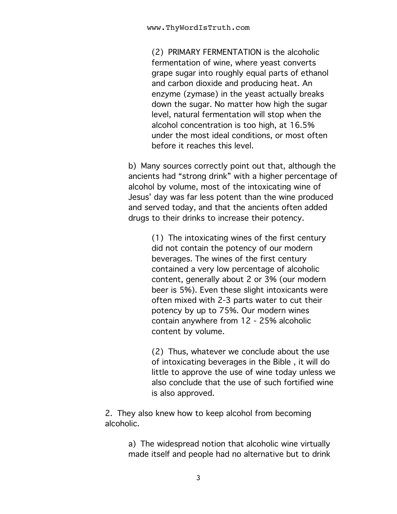(2) PRIMARY FERMENTATION is the alcoholic fermentation of wine, where yeast converts grape sugar into roughly equal parts of ethanol and carbon dioxide and producing heat. An enzyme (zymase) in the yeast actually breaks down the sugar. No matter how high the sugar level, natural fermentation will stop when the alcohol concentration is too high, at 16.5% under the most ideal conditions, or most often before it reaches this level.

b) Many sources correctly point out that, although the ancients had "strong drink" with a higher percentage of alcohol by volume, most of the intoxicating wine of Jesus' day was far less potent than the wine produced and served today, and that the ancients often added drugs to their drinks to increase their potency.

> (1) The intoxicating wines of the first century did not contain the potency of our modern beverages. The wines of the first century contained a very low percentage of alcoholic content, generally about 2 or 3% (our modern beer is 5%). Even these slight intoxicants were often mixed with 2-3 parts water to cut their potency by up to 75%. Our modern wines contain anywhere from 12 - 25% alcoholic content by volume.

(2) Thus, whatever we conclude about the use of intoxicating beverages in the Bible , it will do little to approve the use of wine today unless we also conclude that the use of such fortified wine is also approved.

2. They also knew how to keep alcohol from becoming alcoholic.

> a) The widespread notion that alcoholic wine virtually made itself and people had no alternative but to drink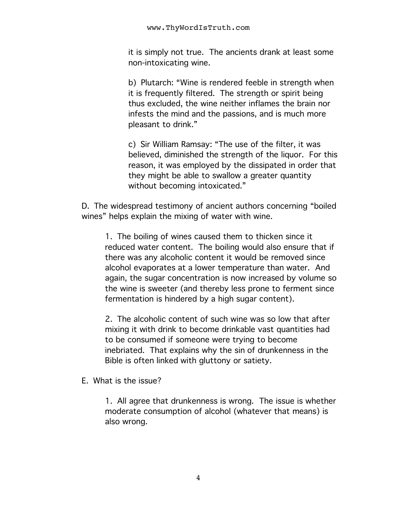it is simply not true. The ancients drank at least some non-intoxicating wine.

b) Plutarch: "Wine is rendered feeble in strength when it is frequently filtered. The strength or spirit being thus excluded, the wine neither inflames the brain nor infests the mind and the passions, and is much more pleasant to drink."

c) Sir William Ramsay: "The use of the filter, it was believed, diminished the strength of the liquor. For this reason, it was employed by the dissipated in order that they might be able to swallow a greater quantity without becoming intoxicated."

D. The widespread testimony of ancient authors concerning "boiled wines" helps explain the mixing of water with wine.

1. The boiling of wines caused them to thicken since it reduced water content. The boiling would also ensure that if there was any alcoholic content it would be removed since alcohol evaporates at a lower temperature than water. And again, the sugar concentration is now increased by volume so the wine is sweeter (and thereby less prone to ferment since fermentation is hindered by a high sugar content).

2. The alcoholic content of such wine was so low that after mixing it with drink to become drinkable vast quantities had to be consumed if someone were trying to become inebriated. That explains why the sin of drunkenness in the Bible is often linked with gluttony or satiety.

E. What is the issue?

1. All agree that drunkenness is wrong. The issue is whether moderate consumption of alcohol (whatever that means) is also wrong.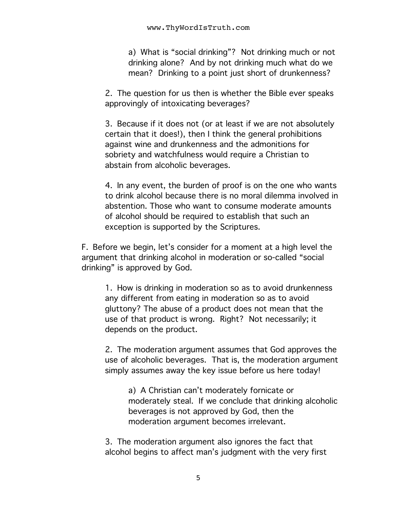a) What is "social drinking"? Not drinking much or not drinking alone? And by not drinking much what do we mean? Drinking to a point just short of drunkenness?

2. The question for us then is whether the Bible ever speaks approvingly of intoxicating beverages?

3. Because if it does not (or at least if we are not absolutely certain that it does!), then I think the general prohibitions against wine and drunkenness and the admonitions for sobriety and watchfulness would require a Christian to abstain from alcoholic beverages.

4. In any event, the burden of proof is on the one who wants to drink alcohol because there is no moral dilemma involved in abstention. Those who want to consume moderate amounts of alcohol should be required to establish that such an exception is supported by the Scriptures.

F. Before we begin, let's consider for a moment at a high level the argument that drinking alcohol in moderation or so-called "social drinking" is approved by God.

1. How is drinking in moderation so as to avoid drunkenness any different from eating in moderation so as to avoid gluttony? The abuse of a product does not mean that the use of that product is wrong. Right? Not necessarily; it depends on the product.

2. The moderation argument assumes that God approves the use of alcoholic beverages. That is, the moderation argument simply assumes away the key issue before us here today!

a) A Christian can't moderately fornicate or moderately steal. If we conclude that drinking alcoholic beverages is not approved by God, then the moderation argument becomes irrelevant.

3. The moderation argument also ignores the fact that alcohol begins to affect man's judgment with the very first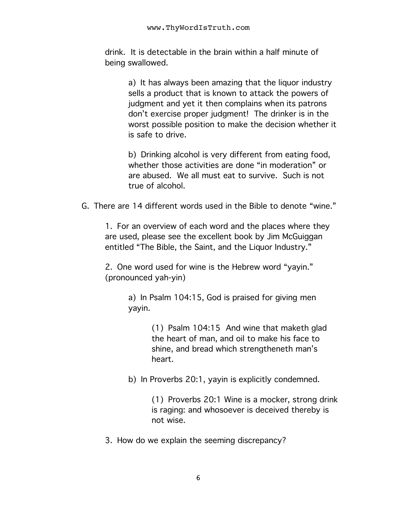drink. It is detectable in the brain within a half minute of being swallowed.

> a) It has always been amazing that the liquor industry sells a product that is known to attack the powers of judgment and yet it then complains when its patrons don't exercise proper judgment! The drinker is in the worst possible position to make the decision whether it is safe to drive.

b) Drinking alcohol is very different from eating food, whether those activities are done "in moderation" or are abused. We all must eat to survive. Such is not true of alcohol.

G. There are 14 different words used in the Bible to denote "wine."

1. For an overview of each word and the places where they are used, please see the excellent book by Jim McGuiggan entitled "The Bible, the Saint, and the Liquor Industry."

2. One word used for wine is the Hebrew word "yayin." (pronounced yah-yin)

> a) In Psalm 104:15, God is praised for giving men yayin.

> > (1) Psalm 104:15 And wine that maketh glad the heart of man, and oil to make his face to shine, and bread which strengtheneth man's heart.

b) In Proverbs 20:1, yayin is explicitly condemned.

(1) Proverbs 20:1 Wine is a mocker, strong drink is raging: and whosoever is deceived thereby is not wise.

3. How do we explain the seeming discrepancy?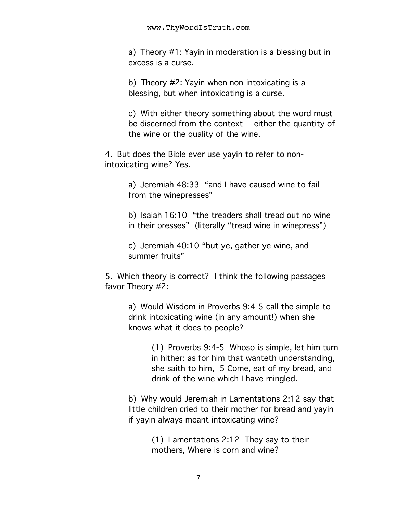a) Theory #1: Yayin in moderation is a blessing but in excess is a curse.

b) Theory #2: Yayin when non-intoxicating is a blessing, but when intoxicating is a curse.

c) With either theory something about the word must be discerned from the context -- either the quantity of the wine or the quality of the wine.

4. But does the Bible ever use yayin to refer to nonintoxicating wine? Yes.

> a) Jeremiah 48:33 "and I have caused wine to fail from the winepresses"

b) Isaiah 16:10 "the treaders shall tread out no wine in their presses" (literally "tread wine in winepress")

c) Jeremiah 40:10 "but ye, gather ye wine, and summer fruits"

5. Which theory is correct? I think the following passages favor Theory #2:

> a) Would Wisdom in Proverbs 9:4-5 call the simple to drink intoxicating wine (in any amount!) when she knows what it does to people?

> > (1) Proverbs 9:4-5 Whoso is simple, let him turn in hither: as for him that wanteth understanding, she saith to him, 5 Come, eat of my bread, and drink of the wine which I have mingled.

b) Why would Jeremiah in Lamentations 2:12 say that little children cried to their mother for bread and yayin if yayin always meant intoxicating wine?

> (1) Lamentations 2:12 They say to their mothers, Where is corn and wine?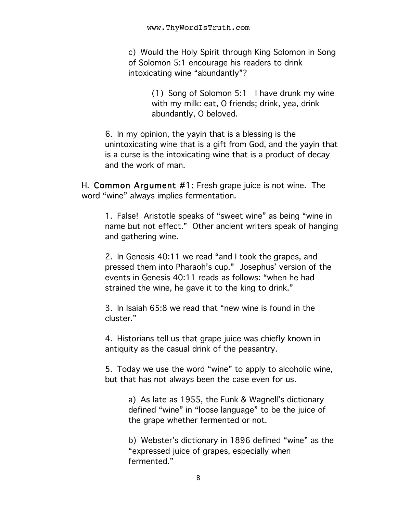c) Would the Holy Spirit through King Solomon in Song of Solomon 5:1 encourage his readers to drink intoxicating wine "abundantly"?

> (1) Song of Solomon 5:1 I have drunk my wine with my milk: eat, O friends; drink, yea, drink abundantly, O beloved.

6. In my opinion, the yayin that is a blessing is the unintoxicating wine that is a gift from God, and the yayin that is a curse is the intoxicating wine that is a product of decay and the work of man.

H. Common Argument #1: Fresh grape juice is not wine. The word "wine" always implies fermentation.

1. False! Aristotle speaks of "sweet wine" as being "wine in name but not effect." Other ancient writers speak of hanging and gathering wine.

2. In Genesis 40:11 we read "and I took the grapes, and pressed them into Pharaoh's cup." Josephus' version of the events in Genesis 40:11 reads as follows: "when he had strained the wine, he gave it to the king to drink."

3. In Isaiah 65:8 we read that "new wine is found in the cluster."

4. Historians tell us that grape juice was chiefly known in antiquity as the casual drink of the peasantry.

5. Today we use the word "wine" to apply to alcoholic wine, but that has not always been the case even for us.

> a) As late as 1955, the Funk & Wagnell's dictionary defined "wine" in "loose language" to be the juice of the grape whether fermented or not.

b) Webster's dictionary in 1896 defined "wine" as the "expressed juice of grapes, especially when fermented."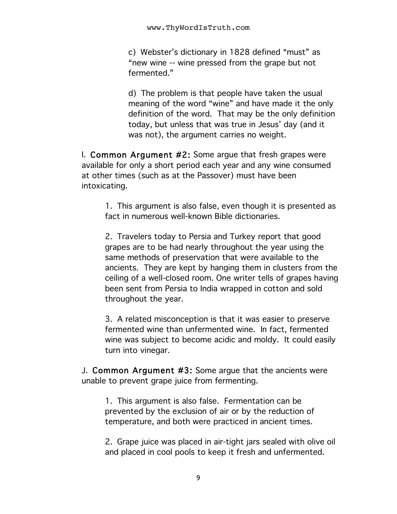c) Webster's dictionary in 1828 defined "must" as "new wine -- wine pressed from the grape but not fermented."

d) The problem is that people have taken the usual meaning of the word "wine" and have made it the only definition of the word. That may be the only definition today, but unless that was true in Jesus' day (and it was not), the argument carries no weight.

I. Common Argument #2: Some argue that fresh grapes were available for only a short period each year and any wine consumed at other times (such as at the Passover) must have been intoxicating.

1. This argument is also false, even though it is presented as fact in numerous well-known Bible dictionaries.

2. Travelers today to Persia and Turkey report that good grapes are to be had nearly throughout the year using the same methods of preservation that were available to the ancients. They are kept by hanging them in clusters from the ceiling of a well-closed room. One writer tells of grapes having been sent from Persia to India wrapped in cotton and sold throughout the year.

3. A related misconception is that it was easier to preserve fermented wine than unfermented wine. In fact, fermented wine was subject to become acidic and moldy. It could easily turn into vinegar.

J. Common Argument #3: Some argue that the ancients were unable to prevent grape juice from fermenting.

1. This argument is also false. Fermentation can be prevented by the exclusion of air or by the reduction of temperature, and both were practiced in ancient times.

2. Grape juice was placed in air-tight jars sealed with olive oil and placed in cool pools to keep it fresh and unfermented.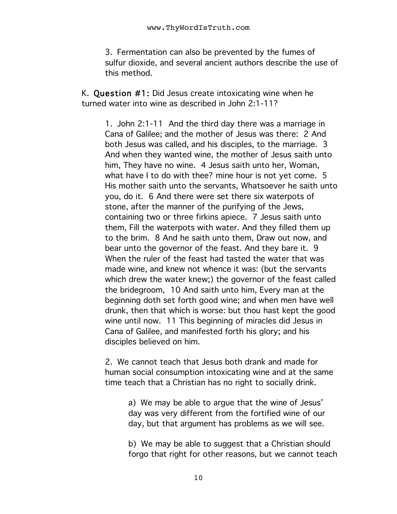3. Fermentation can also be prevented by the fumes of sulfur dioxide, and several ancient authors describe the use of this method.

K. Question #1: Did Jesus create intoxicating wine when he turned water into wine as described in John 2:1-11?

1. John 2:1-11 And the third day there was a marriage in Cana of Galilee; and the mother of Jesus was there: 2 And both Jesus was called, and his disciples, to the marriage. 3 And when they wanted wine, the mother of Jesus saith unto him, They have no wine. 4 Jesus saith unto her, Woman, what have I to do with thee? mine hour is not yet come. 5 His mother saith unto the servants, Whatsoever he saith unto you, do it. 6 And there were set there six waterpots of stone, after the manner of the purifying of the Jews, containing two or three firkins apiece. 7 Jesus saith unto them, Fill the waterpots with water. And they filled them up to the brim. 8 And he saith unto them, Draw out now, and bear unto the governor of the feast. And they bare it. 9 When the ruler of the feast had tasted the water that was made wine, and knew not whence it was: (but the servants which drew the water knew;) the governor of the feast called the bridegroom, 10 And saith unto him, Every man at the beginning doth set forth good wine; and when men have well drunk, then that which is worse: but thou hast kept the good wine until now. 11 This beginning of miracles did Jesus in Cana of Galilee, and manifested forth his glory; and his disciples believed on him.

2. We cannot teach that Jesus both drank and made for human social consumption intoxicating wine and at the same time teach that a Christian has no right to socially drink.

> a) We may be able to argue that the wine of Jesus' day was very different from the fortified wine of our day, but that argument has problems as we will see.

b) We may be able to suggest that a Christian should forgo that right for other reasons, but we cannot teach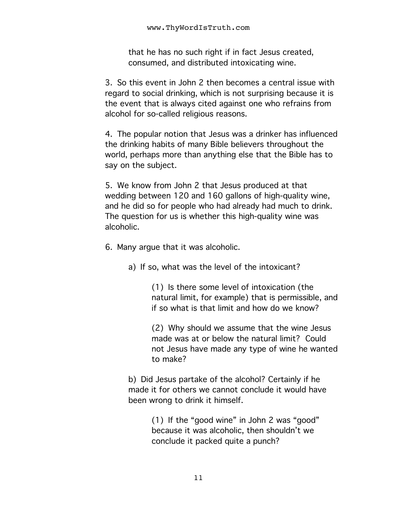that he has no such right if in fact Jesus created, consumed, and distributed intoxicating wine.

3. So this event in John 2 then becomes a central issue with regard to social drinking, which is not surprising because it is the event that is always cited against one who refrains from alcohol for so-called religious reasons.

4. The popular notion that Jesus was a drinker has influenced the drinking habits of many Bible believers throughout the world, perhaps more than anything else that the Bible has to say on the subject.

5. We know from John 2 that Jesus produced at that wedding between 120 and 160 gallons of high-quality wine, and he did so for people who had already had much to drink. The question for us is whether this high-quality wine was alcoholic.

6. Many argue that it was alcoholic.

a) If so, what was the level of the intoxicant?

(1) Is there some level of intoxication (the natural limit, for example) that is permissible, and if so what is that limit and how do we know?

(2) Why should we assume that the wine Jesus made was at or below the natural limit? Could not Jesus have made any type of wine he wanted to make?

b) Did Jesus partake of the alcohol? Certainly if he made it for others we cannot conclude it would have been wrong to drink it himself.

> (1) If the "good wine" in John 2 was "good" because it was alcoholic, then shouldn't we conclude it packed quite a punch?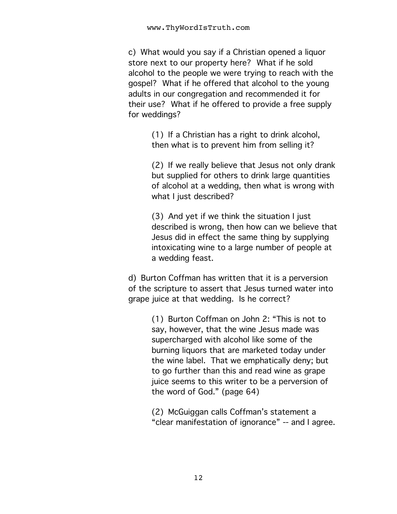c) What would you say if a Christian opened a liquor store next to our property here? What if he sold alcohol to the people we were trying to reach with the gospel? What if he offered that alcohol to the young adults in our congregation and recommended it for their use? What if he offered to provide a free supply for weddings?

> (1) If a Christian has a right to drink alcohol, then what is to prevent him from selling it?

(2) If we really believe that Jesus not only drank but supplied for others to drink large quantities of alcohol at a wedding, then what is wrong with what I just described?

(3) And yet if we think the situation I just described is wrong, then how can we believe that Jesus did in effect the same thing by supplying intoxicating wine to a large number of people at a wedding feast.

d) Burton Coffman has written that it is a perversion of the scripture to assert that Jesus turned water into grape juice at that wedding. Is he correct?

> (1) Burton Coffman on John 2: "This is not to say, however, that the wine Jesus made was supercharged with alcohol like some of the burning liquors that are marketed today under the wine label. That we emphatically deny; but to go further than this and read wine as grape juice seems to this writer to be a perversion of the word of God." (page 64)

(2) McGuiggan calls Coffman's statement a "clear manifestation of ignorance" -- and I agree.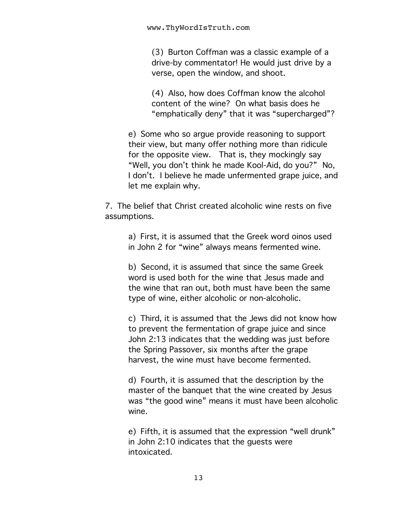(3) Burton Coffman was a classic example of a drive-by commentator! He would just drive by a verse, open the window, and shoot.

(4) Also, how does Coffman know the alcohol content of the wine? On what basis does he "emphatically deny" that it was "supercharged"?

e) Some who so argue provide reasoning to support their view, but many offer nothing more than ridicule for the opposite view. That is, they mockingly say "Well, you don't think he made Kool-Aid, do you?" No, I don't. I believe he made unfermented grape juice, and let me explain why.

7. The belief that Christ created alcoholic wine rests on five assumptions.

> a) First, it is assumed that the Greek word oinos used in John 2 for "wine" always means fermented wine.

> b) Second, it is assumed that since the same Greek word is used both for the wine that Jesus made and the wine that ran out, both must have been the same type of wine, either alcoholic or non-alcoholic.

c) Third, it is assumed that the Jews did not know how to prevent the fermentation of grape juice and since John 2:13 indicates that the wedding was just before the Spring Passover, six months after the grape harvest, the wine must have become fermented.

d) Fourth, it is assumed that the description by the master of the banquet that the wine created by Jesus was "the good wine" means it must have been alcoholic wine.

e) Fifth, it is assumed that the expression "well drunk" in John 2:10 indicates that the guests were intoxicated.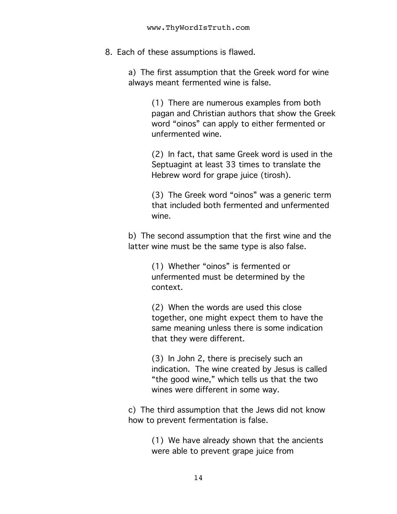8. Each of these assumptions is flawed.

a) The first assumption that the Greek word for wine always meant fermented wine is false.

> (1) There are numerous examples from both pagan and Christian authors that show the Greek word "oinos" can apply to either fermented or unfermented wine.

(2) In fact, that same Greek word is used in the Septuagint at least 33 times to translate the Hebrew word for grape juice (tirosh).

(3) The Greek word "oinos" was a generic term that included both fermented and unfermented wine.

b) The second assumption that the first wine and the latter wine must be the same type is also false.

> (1) Whether "oinos" is fermented or unfermented must be determined by the context.

(2) When the words are used this close together, one might expect them to have the same meaning unless there is some indication that they were different.

(3) In John 2, there is precisely such an indication. The wine created by Jesus is called "the good wine," which tells us that the two wines were different in some way.

c) The third assumption that the Jews did not know how to prevent fermentation is false.

> (1) We have already shown that the ancients were able to prevent grape juice from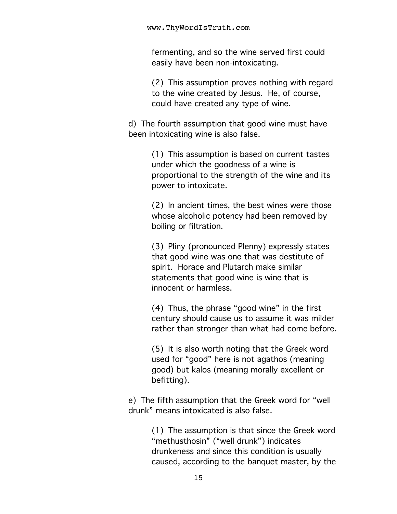fermenting, and so the wine served first could easily have been non-intoxicating.

(2) This assumption proves nothing with regard to the wine created by Jesus. He, of course, could have created any type of wine.

d) The fourth assumption that good wine must have been intoxicating wine is also false.

> (1) This assumption is based on current tastes under which the goodness of a wine is proportional to the strength of the wine and its power to intoxicate.

> (2) In ancient times, the best wines were those whose alcoholic potency had been removed by boiling or filtration.

(3) Pliny (pronounced Plenny) expressly states that good wine was one that was destitute of spirit. Horace and Plutarch make similar statements that good wine is wine that is innocent or harmless.

(4) Thus, the phrase "good wine" in the first century should cause us to assume it was milder rather than stronger than what had come before.

(5) It is also worth noting that the Greek word used for "good" here is not agathos (meaning good) but kalos (meaning morally excellent or befitting).

e) The fifth assumption that the Greek word for "well drunk" means intoxicated is also false.

> (1) The assumption is that since the Greek word "methusthosin" ("well drunk") indicates drunkeness and since this condition is usually caused, according to the banquet master, by the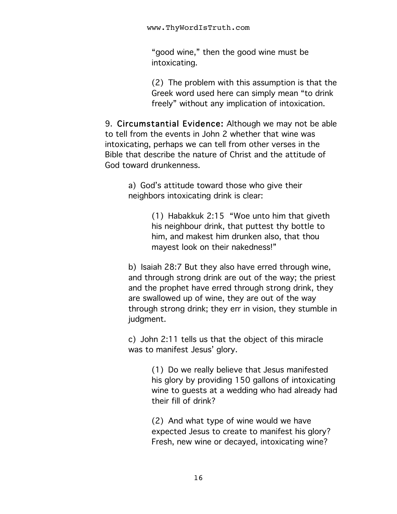"good wine," then the good wine must be intoxicating.

(2) The problem with this assumption is that the Greek word used here can simply mean "to drink freely" without any implication of intoxication.

9. Circumstantial Evidence: Although we may not be able to tell from the events in John 2 whether that wine was intoxicating, perhaps we can tell from other verses in the Bible that describe the nature of Christ and the attitude of God toward drunkenness.

> a) God's attitude toward those who give their neighbors intoxicating drink is clear:

> > (1) Habakkuk 2:15 "Woe unto him that giveth his neighbour drink, that puttest thy bottle to him, and makest him drunken also, that thou mayest look on their nakedness!"

b) Isaiah 28:7 But they also have erred through wine, and through strong drink are out of the way; the priest and the prophet have erred through strong drink, they are swallowed up of wine, they are out of the way through strong drink; they err in vision, they stumble in judgment.

c) John 2:11 tells us that the object of this miracle was to manifest Jesus' glory.

> (1) Do we really believe that Jesus manifested his glory by providing 150 gallons of intoxicating wine to guests at a wedding who had already had their fill of drink?

(2) And what type of wine would we have expected Jesus to create to manifest his glory? Fresh, new wine or decayed, intoxicating wine?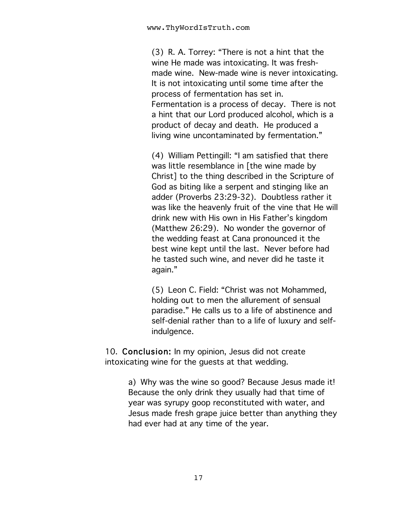(3) R. A. Torrey: "There is not a hint that the wine He made was intoxicating. It was freshmade wine. New-made wine is never intoxicating. It is not intoxicating until some time after the process of fermentation has set in. Fermentation is a process of decay. There is not a hint that our Lord produced alcohol, which is a product of decay and death. He produced a living wine uncontaminated by fermentation."

(4) William Pettingill: "I am satisfied that there was little resemblance in [the wine made by Christ] to the thing described in the Scripture of God as biting like a serpent and stinging like an adder (Proverbs 23:29-32). Doubtless rather it was like the heavenly fruit of the vine that He will drink new with His own in His Father's kingdom (Matthew 26:29). No wonder the governor of the wedding feast at Cana pronounced it the best wine kept until the last. Never before had he tasted such wine, and never did he taste it again."

(5) Leon C. Field: "Christ was not Mohammed, holding out to men the allurement of sensual paradise." He calls us to a life of abstinence and self-denial rather than to a life of luxury and selfindulgence.

10. Conclusion: In my opinion, Jesus did not create intoxicating wine for the guests at that wedding.

> a) Why was the wine so good? Because Jesus made it! Because the only drink they usually had that time of year was syrupy goop reconstituted with water, and Jesus made fresh grape juice better than anything they had ever had at any time of the year.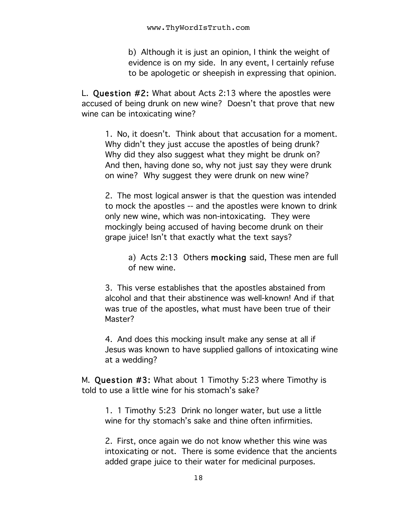b) Although it is just an opinion, I think the weight of evidence is on my side. In any event, I certainly refuse to be apologetic or sheepish in expressing that opinion.

L. Question #2: What about Acts 2:13 where the apostles were accused of being drunk on new wine? Doesn't that prove that new wine can be intoxicating wine?

1. No, it doesn't. Think about that accusation for a moment. Why didn't they just accuse the apostles of being drunk? Why did they also suggest what they might be drunk on? And then, having done so, why not just say they were drunk on wine? Why suggest they were drunk on new wine?

2. The most logical answer is that the question was intended to mock the apostles -- and the apostles were known to drink only new wine, which was non-intoxicating. They were mockingly being accused of having become drunk on their grape juice! Isn't that exactly what the text says?

a) Acts 2:13 Others mocking said, These men are full of new wine.

3. This verse establishes that the apostles abstained from alcohol and that their abstinence was well-known! And if that was true of the apostles, what must have been true of their Master?

4. And does this mocking insult make any sense at all if Jesus was known to have supplied gallons of intoxicating wine at a wedding?

M. Question #3: What about 1 Timothy 5:23 where Timothy is told to use a little wine for his stomach's sake?

1. 1 Timothy 5:23 Drink no longer water, but use a little wine for thy stomach's sake and thine often infirmities.

2. First, once again we do not know whether this wine was intoxicating or not. There is some evidence that the ancients added grape juice to their water for medicinal purposes.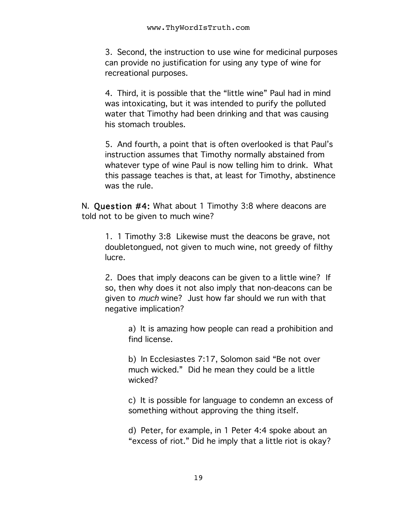3. Second, the instruction to use wine for medicinal purposes can provide no justification for using any type of wine for recreational purposes.

4. Third, it is possible that the "little wine" Paul had in mind was intoxicating, but it was intended to purify the polluted water that Timothy had been drinking and that was causing his stomach troubles.

5. And fourth, a point that is often overlooked is that Paul's instruction assumes that Timothy normally abstained from whatever type of wine Paul is now telling him to drink. What this passage teaches is that, at least for Timothy, abstinence was the rule.

N. Question #4: What about 1 Timothy 3:8 where deacons are told not to be given to much wine?

1. 1 Timothy 3:8 Likewise must the deacons be grave, not doubletongued, not given to much wine, not greedy of filthy lucre.

2. Does that imply deacons can be given to a little wine? If so, then why does it not also imply that non-deacons can be given to much wine? Just how far should we run with that negative implication?

a) It is amazing how people can read a prohibition and find license.

b) In Ecclesiastes 7:17, Solomon said "Be not over much wicked." Did he mean they could be a little wicked?

c) It is possible for language to condemn an excess of something without approving the thing itself.

d) Peter, for example, in 1 Peter 4:4 spoke about an "excess of riot." Did he imply that a little riot is okay?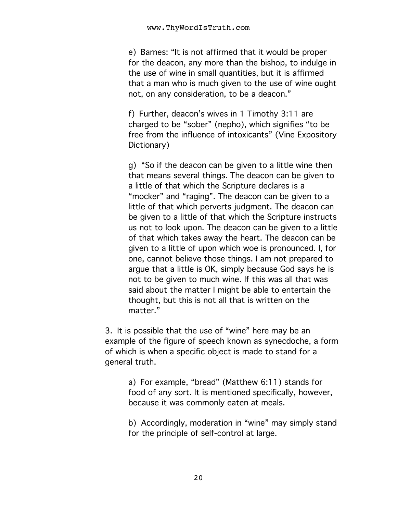e) Barnes: "It is not affirmed that it would be proper for the deacon, any more than the bishop, to indulge in the use of wine in small quantities, but it is affirmed that a man who is much given to the use of wine ought not, on any consideration, to be a deacon."

f) Further, deacon's wives in 1 Timothy 3:11 are charged to be "sober" (nepho), which signifies "to be free from the influence of intoxicants" (Vine Expository Dictionary)

g) "So if the deacon can be given to a little wine then that means several things. The deacon can be given to a little of that which the Scripture declares is a "mocker" and "raging". The deacon can be given to a little of that which perverts judgment. The deacon can be given to a little of that which the Scripture instructs us not to look upon. The deacon can be given to a little of that which takes away the heart. The deacon can be given to a little of upon which woe is pronounced. I, for one, cannot believe those things. I am not prepared to argue that a little is OK, simply because God says he is not to be given to much wine. If this was all that was said about the matter I might be able to entertain the thought, but this is not all that is written on the matter."

3. It is possible that the use of "wine" here may be an example of the figure of speech known as synecdoche, a form of which is when a specific object is made to stand for a general truth.

> a) For example, "bread" (Matthew 6:11) stands for food of any sort. It is mentioned specifically, however, because it was commonly eaten at meals.

b) Accordingly, moderation in "wine" may simply stand for the principle of self-control at large.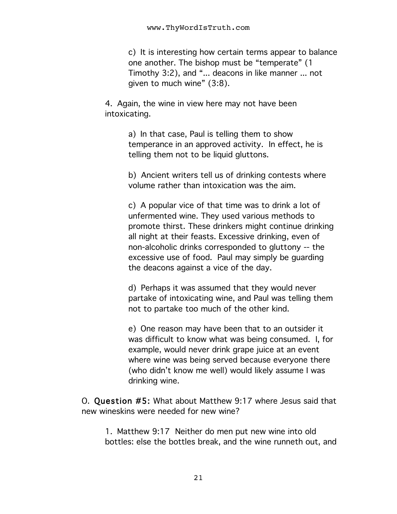c) It is interesting how certain terms appear to balance one another. The bishop must be "temperate" (1 Timothy 3:2), and "... deacons in like manner ... not given to much wine" (3:8).

4. Again, the wine in view here may not have been intoxicating.

> a) In that case, Paul is telling them to show temperance in an approved activity. In effect, he is telling them not to be liquid gluttons.

b) Ancient writers tell us of drinking contests where volume rather than intoxication was the aim.

c) A popular vice of that time was to drink a lot of unfermented wine. They used various methods to promote thirst. These drinkers might continue drinking all night at their feasts. Excessive drinking, even of non-alcoholic drinks corresponded to gluttony -- the excessive use of food. Paul may simply be guarding the deacons against a vice of the day.

d) Perhaps it was assumed that they would never partake of intoxicating wine, and Paul was telling them not to partake too much of the other kind.

e) One reason may have been that to an outsider it was difficult to know what was being consumed. I, for example, would never drink grape juice at an event where wine was being served because everyone there (who didn't know me well) would likely assume I was drinking wine.

O. Question #5: What about Matthew 9:17 where Jesus said that new wineskins were needed for new wine?

1. Matthew 9:17 Neither do men put new wine into old bottles: else the bottles break, and the wine runneth out, and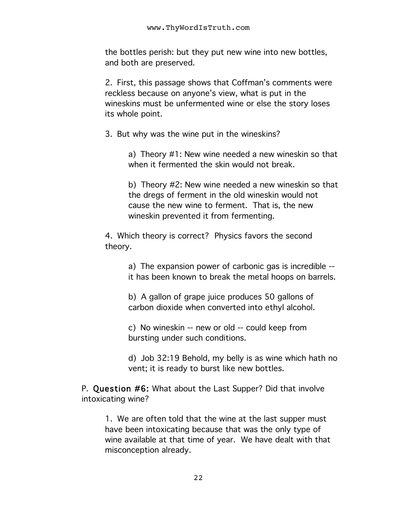the bottles perish: but they put new wine into new bottles, and both are preserved.

2. First, this passage shows that Coffman's comments were reckless because on anyone's view, what is put in the wineskins must be unfermented wine or else the story loses its whole point.

3. But why was the wine put in the wineskins?

a) Theory #1: New wine needed a new wineskin so that when it fermented the skin would not break.

b) Theory #2: New wine needed a new wineskin so that the dregs of ferment in the old wineskin would not cause the new wine to ferment. That is, the new wineskin prevented it from fermenting.

4. Which theory is correct? Physics favors the second theory.

> a) The expansion power of carbonic gas is incredible - it has been known to break the metal hoops on barrels.

b) A gallon of grape juice produces 50 gallons of carbon dioxide when converted into ethyl alcohol.

c) No wineskin -- new or old -- could keep from bursting under such conditions.

d) Job 32:19 Behold, my belly is as wine which hath no vent; it is ready to burst like new bottles.

P. Question #6: What about the Last Supper? Did that involve intoxicating wine?

1. We are often told that the wine at the last supper must have been intoxicating because that was the only type of wine available at that time of year. We have dealt with that misconception already.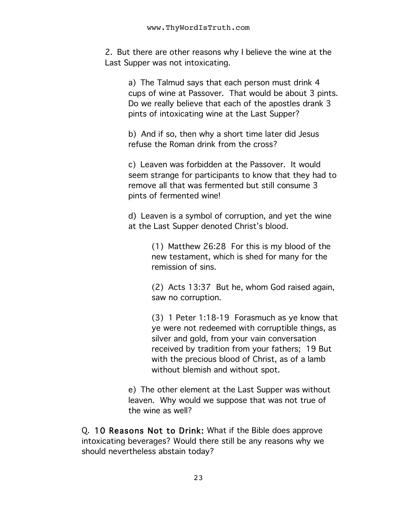2. But there are other reasons why I believe the wine at the Last Supper was not intoxicating.

> a) The Talmud says that each person must drink 4 cups of wine at Passover. That would be about 3 pints. Do we really believe that each of the apostles drank 3 pints of intoxicating wine at the Last Supper?

b) And if so, then why a short time later did Jesus refuse the Roman drink from the cross?

c) Leaven was forbidden at the Passover. It would seem strange for participants to know that they had to remove all that was fermented but still consume 3 pints of fermented wine!

d) Leaven is a symbol of corruption, and yet the wine at the Last Supper denoted Christ's blood.

> (1) Matthew 26:28 For this is my blood of the new testament, which is shed for many for the remission of sins.

(2) Acts 13:37 But he, whom God raised again, saw no corruption.

(3) 1 Peter 1:18-19 Forasmuch as ye know that ye were not redeemed with corruptible things, as silver and gold, from your vain conversation received by tradition from your fathers; 19 But with the precious blood of Christ, as of a lamb without blemish and without spot.

e) The other element at the Last Supper was without leaven. Why would we suppose that was not true of the wine as well?

Q. 10 Reasons Not to Drink: What if the Bible does approve intoxicating beverages? Would there still be any reasons why we should nevertheless abstain today?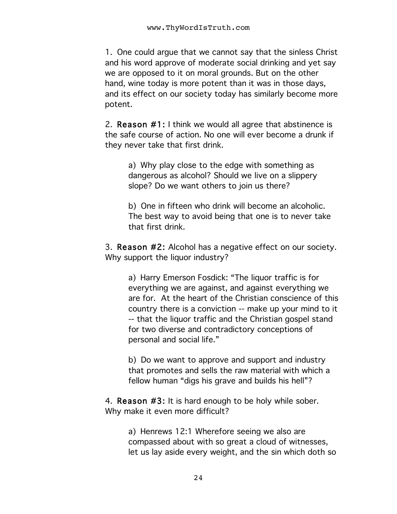1. One could argue that we cannot say that the sinless Christ and his word approve of moderate social drinking and yet say we are opposed to it on moral grounds. But on the other hand, wine today is more potent than it was in those days, and its effect on our society today has similarly become more potent.

2. Reason #1: I think we would all agree that abstinence is the safe course of action. No one will ever become a drunk if they never take that first drink.

> a) Why play close to the edge with something as dangerous as alcohol? Should we live on a slippery slope? Do we want others to join us there?

b) One in fifteen who drink will become an alcoholic. The best way to avoid being that one is to never take that first drink.

3. Reason #2: Alcohol has a negative effect on our society. Why support the liquor industry?

a) Harry Emerson Fosdick: "The liquor traffic is for everything we are against, and against everything we are for. At the heart of the Christian conscience of this country there is a conviction -- make up your mind to it -- that the liquor traffic and the Christian gospel stand for two diverse and contradictory conceptions of personal and social life."

b) Do we want to approve and support and industry that promotes and sells the raw material with which a fellow human "digs his grave and builds his hell"?

4. Reason #3: It is hard enough to be holy while sober. Why make it even more difficult?

> a) Henrews 12:1 Wherefore seeing we also are compassed about with so great a cloud of witnesses, let us lay aside every weight, and the sin which doth so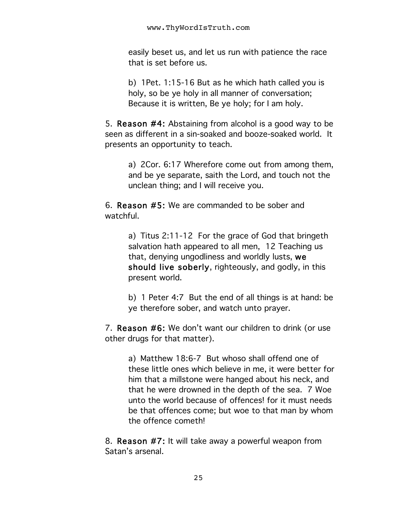easily beset us, and let us run with patience the race that is set before us.

b) 1Pet. 1:15-16 But as he which hath called you is holy, so be ye holy in all manner of conversation; Because it is written, Be ye holy; for I am holy.

5. Reason #4: Abstaining from alcohol is a good way to be seen as different in a sin-soaked and booze-soaked world. It presents an opportunity to teach.

> a) 2Cor. 6:17 Wherefore come out from among them, and be ye separate, saith the Lord, and touch not the unclean thing; and I will receive you.

6. Reason #5: We are commanded to be sober and watchful.

> a) Titus 2:11-12 For the grace of God that bringeth salvation hath appeared to all men, 12 Teaching us that, denying ungodliness and worldly lusts, we should live soberly, righteously, and godly, in this present world.

b) 1 Peter 4:7 But the end of all things is at hand: be ye therefore sober, and watch unto prayer.

7. Reason #6: We don't want our children to drink (or use other drugs for that matter).

> a) Matthew 18:6-7 But whoso shall offend one of these little ones which believe in me, it were better for him that a millstone were hanged about his neck, and that he were drowned in the depth of the sea. 7 Woe unto the world because of offences! for it must needs be that offences come; but woe to that man by whom the offence cometh!

8. Reason #7: It will take away a powerful weapon from Satan's arsenal.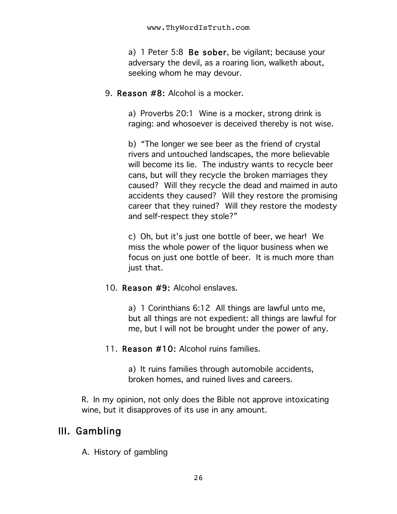a) 1 Peter 5:8 Be sober, be vigilant; because your adversary the devil, as a roaring lion, walketh about, seeking whom he may devour.

9. Reason #8: Alcohol is a mocker.

a) Proverbs 20:1 Wine is a mocker, strong drink is raging: and whosoever is deceived thereby is not wise.

b) "The longer we see beer as the friend of crystal rivers and untouched landscapes, the more believable will become its lie. The industry wants to recycle beer cans, but will they recycle the broken marriages they caused? Will they recycle the dead and maimed in auto accidents they caused? Will they restore the promising career that they ruined? Will they restore the modesty and self-respect they stole?"

c) Oh, but it's just one bottle of beer, we hear! We miss the whole power of the liquor business when we focus on just one bottle of beer. It is much more than just that.

#### 10. Reason #9: Alcohol enslaves.

a) 1 Corinthians 6:12 All things are lawful unto me, but all things are not expedient: all things are lawful for me, but I will not be brought under the power of any.

11. Reason #10: Alcohol ruins families.

a) It ruins families through automobile accidents, broken homes, and ruined lives and careers.

R. In my opinion, not only does the Bible not approve intoxicating wine, but it disapproves of its use in any amount.

## III. Gambling

A. History of gambling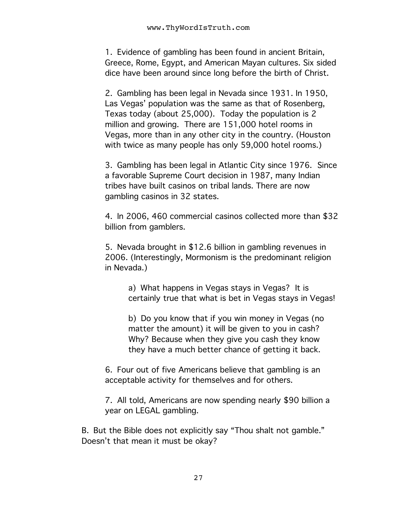1. Evidence of gambling has been found in ancient Britain, Greece, Rome, Egypt, and American Mayan cultures. Six sided dice have been around since long before the birth of Christ.

2. Gambling has been legal in Nevada since 1931. In 1950, Las Vegas' population was the same as that of Rosenberg, Texas today (about 25,000). Today the population is 2 million and growing. There are 151,000 hotel rooms in Vegas, more than in any other city in the country. (Houston with twice as many people has only 59,000 hotel rooms.)

3. Gambling has been legal in Atlantic City since 1976. Since a favorable Supreme Court decision in 1987, many Indian tribes have built casinos on tribal lands. There are now gambling casinos in 32 states.

4. In 2006, 460 commercial casinos collected more than \$32 billion from gamblers.

5. Nevada brought in \$12.6 billion in gambling revenues in 2006. (Interestingly, Mormonism is the predominant religion in Nevada.)

> a) What happens in Vegas stays in Vegas? It is certainly true that what is bet in Vegas stays in Vegas!

b) Do you know that if you win money in Vegas (no matter the amount) it will be given to you in cash? Why? Because when they give you cash they know they have a much better chance of getting it back.

6. Four out of five Americans believe that gambling is an acceptable activity for themselves and for others.

7. All told, Americans are now spending nearly \$90 billion a year on LEGAL gambling.

B. But the Bible does not explicitly say "Thou shalt not gamble." Doesn't that mean it must be okay?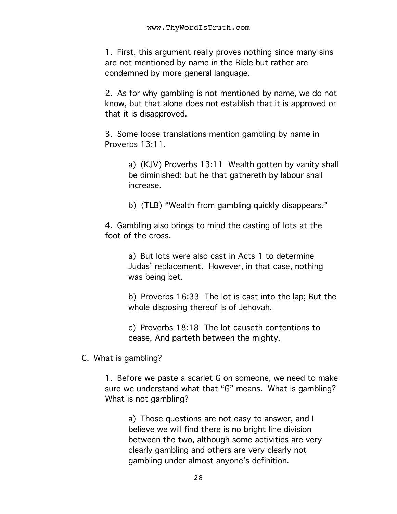1. First, this argument really proves nothing since many sins are not mentioned by name in the Bible but rather are condemned by more general language.

2. As for why gambling is not mentioned by name, we do not know, but that alone does not establish that it is approved or that it is disapproved.

3. Some loose translations mention gambling by name in Proverbs 13:11.

> a) (KJV) Proverbs 13:11 Wealth gotten by vanity shall be diminished: but he that gathereth by labour shall increase.

b) (TLB) "Wealth from gambling quickly disappears."

4. Gambling also brings to mind the casting of lots at the foot of the cross.

> a) But lots were also cast in Acts 1 to determine Judas' replacement. However, in that case, nothing was being bet.

b) Proverbs 16:33 The lot is cast into the lap; But the whole disposing thereof is of Jehovah.

c) Proverbs 18:18 The lot causeth contentions to cease, And parteth between the mighty.

C. What is gambling?

1. Before we paste a scarlet G on someone, we need to make sure we understand what that "G" means. What is gambling? What is not gambling?

> a) Those questions are not easy to answer, and I believe we will find there is no bright line division between the two, although some activities are very clearly gambling and others are very clearly not gambling under almost anyone's definition.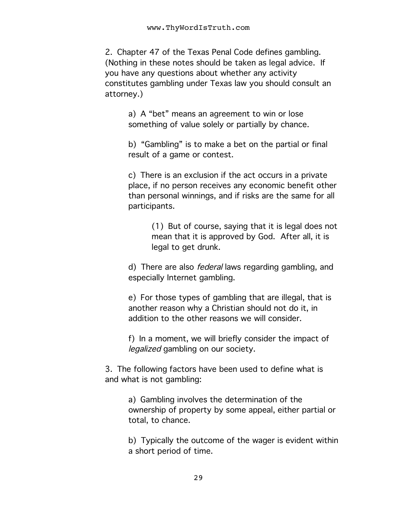2. Chapter 47 of the Texas Penal Code defines gambling. (Nothing in these notes should be taken as legal advice. If you have any questions about whether any activity constitutes gambling under Texas law you should consult an attorney.)

> a) A "bet" means an agreement to win or lose something of value solely or partially by chance.

b) "Gambling" is to make a bet on the partial or final result of a game or contest.

c) There is an exclusion if the act occurs in a private place, if no person receives any economic benefit other than personal winnings, and if risks are the same for all participants.

> (1) But of course, saying that it is legal does not mean that it is approved by God. After all, it is legal to get drunk.

d) There are also *federal* laws regarding gambling, and especially Internet gambling.

e) For those types of gambling that are illegal, that is another reason why a Christian should not do it, in addition to the other reasons we will consider.

f) In a moment, we will briefly consider the impact of legalized gambling on our society.

3. The following factors have been used to define what is and what is not gambling:

> a) Gambling involves the determination of the ownership of property by some appeal, either partial or total, to chance.

> b) Typically the outcome of the wager is evident within a short period of time.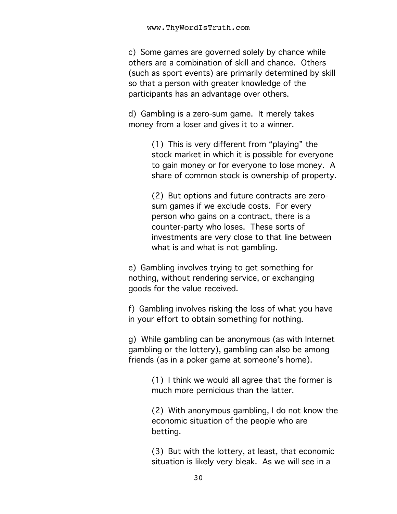c) Some games are governed solely by chance while others are a combination of skill and chance. Others (such as sport events) are primarily determined by skill so that a person with greater knowledge of the participants has an advantage over others.

d) Gambling is a zero-sum game. It merely takes money from a loser and gives it to a winner.

> (1) This is very different from "playing" the stock market in which it is possible for everyone to gain money or for everyone to lose money. A share of common stock is ownership of property.

(2) But options and future contracts are zerosum games if we exclude costs. For every person who gains on a contract, there is a counter-party who loses. These sorts of investments are very close to that line between what is and what is not gambling.

e) Gambling involves trying to get something for nothing, without rendering service, or exchanging goods for the value received.

f) Gambling involves risking the loss of what you have in your effort to obtain something for nothing.

g) While gambling can be anonymous (as with Internet gambling or the lottery), gambling can also be among friends (as in a poker game at someone's home).

> (1) I think we would all agree that the former is much more pernicious than the latter.

(2) With anonymous gambling, I do not know the economic situation of the people who are betting.

(3) But with the lottery, at least, that economic situation is likely very bleak. As we will see in a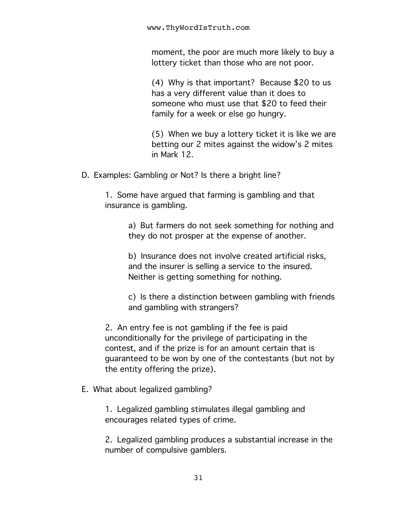moment, the poor are much more likely to buy a lottery ticket than those who are not poor.

(4) Why is that important? Because \$20 to us has a very different value than it does to someone who must use that \$20 to feed their family for a week or else go hungry.

(5) When we buy a lottery ticket it is like we are betting our 2 mites against the widow's 2 mites in Mark 12.

D. Examples: Gambling or Not? Is there a bright line?

1. Some have argued that farming is gambling and that insurance is gambling.

> a) But farmers do not seek something for nothing and they do not prosper at the expense of another.

b) Insurance does not involve created artificial risks, and the insurer is selling a service to the insured. Neither is getting something for nothing.

c) Is there a distinction between gambling with friends and gambling with strangers?

2. An entry fee is not gambling if the fee is paid unconditionally for the privilege of participating in the contest, and if the prize is for an amount certain that is guaranteed to be won by one of the contestants (but not by the entity offering the prize).

E. What about legalized gambling?

1. Legalized gambling stimulates illegal gambling and encourages related types of crime.

2. Legalized gambling produces a substantial increase in the number of compulsive gamblers.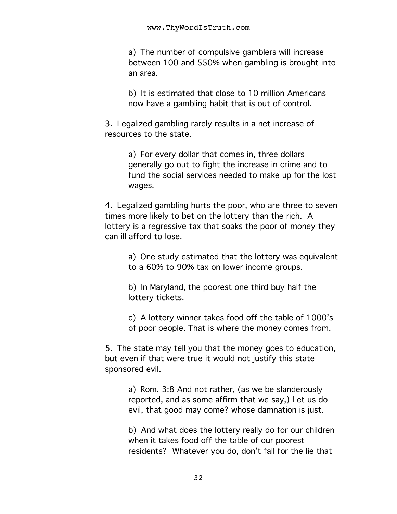a) The number of compulsive gamblers will increase between 100 and 550% when gambling is brought into an area.

b) It is estimated that close to 10 million Americans now have a gambling habit that is out of control.

3. Legalized gambling rarely results in a net increase of resources to the state.

> a) For every dollar that comes in, three dollars generally go out to fight the increase in crime and to fund the social services needed to make up for the lost wages.

4. Legalized gambling hurts the poor, who are three to seven times more likely to bet on the lottery than the rich. A lottery is a regressive tax that soaks the poor of money they can ill afford to lose.

> a) One study estimated that the lottery was equivalent to a 60% to 90% tax on lower income groups.

b) In Maryland, the poorest one third buy half the lottery tickets.

c) A lottery winner takes food off the table of 1000's of poor people. That is where the money comes from.

5. The state may tell you that the money goes to education, but even if that were true it would not justify this state sponsored evil.

a) Rom. 3:8 And not rather, (as we be slanderously reported, and as some affirm that we say,) Let us do evil, that good may come? whose damnation is just.

b) And what does the lottery really do for our children when it takes food off the table of our poorest residents? Whatever you do, don't fall for the lie that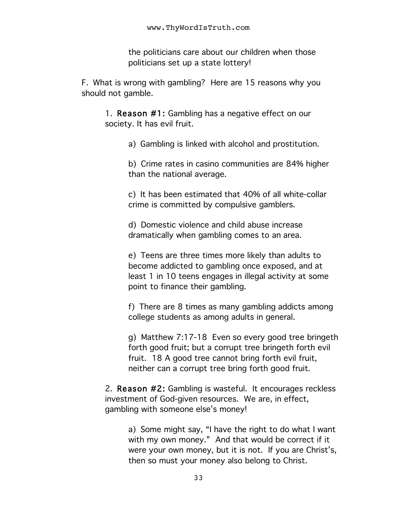the politicians care about our children when those politicians set up a state lottery!

F. What is wrong with gambling? Here are 15 reasons why you should not gamble.

1. Reason #1: Gambling has a negative effect on our society. It has evil fruit.

a) Gambling is linked with alcohol and prostitution.

b) Crime rates in casino communities are 84% higher than the national average.

c) It has been estimated that 40% of all white-collar crime is committed by compulsive gamblers.

d) Domestic violence and child abuse increase dramatically when gambling comes to an area.

e) Teens are three times more likely than adults to become addicted to gambling once exposed, and at least 1 in 10 teens engages in illegal activity at some point to finance their gambling.

f) There are 8 times as many gambling addicts among college students as among adults in general.

g) Matthew 7:17-18 Even so every good tree bringeth forth good fruit; but a corrupt tree bringeth forth evil fruit. 18 A good tree cannot bring forth evil fruit, neither can a corrupt tree bring forth good fruit.

2. Reason #2: Gambling is wasteful. It encourages reckless investment of God-given resources. We are, in effect, gambling with someone else's money!

a) Some might say, "I have the right to do what I want with my own money." And that would be correct if it were your own money, but it is not. If you are Christ's, then so must your money also belong to Christ.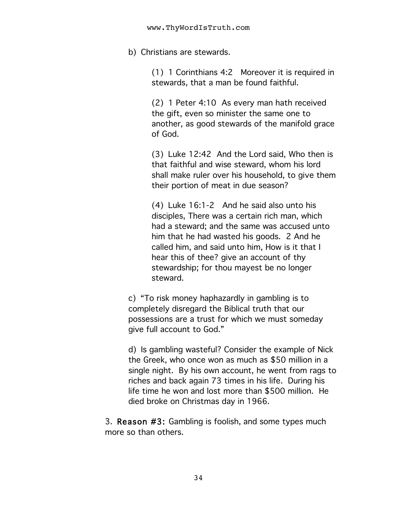b) Christians are stewards.

(1) 1 Corinthians 4:2 Moreover it is required in stewards, that a man be found faithful.

(2) 1 Peter 4:10 As every man hath received the gift, even so minister the same one to another, as good stewards of the manifold grace of God.

(3) Luke 12:42 And the Lord said, Who then is that faithful and wise steward, whom his lord shall make ruler over his household, to give them their portion of meat in due season?

(4) Luke 16:1-2 And he said also unto his disciples, There was a certain rich man, which had a steward; and the same was accused unto him that he had wasted his goods. 2 And he called him, and said unto him, How is it that I hear this of thee? give an account of thy stewardship; for thou mayest be no longer steward.

c) "To risk money haphazardly in gambling is to completely disregard the Biblical truth that our possessions are a trust for which we must someday give full account to God."

d) Is gambling wasteful? Consider the example of Nick the Greek, who once won as much as \$50 million in a single night. By his own account, he went from rags to riches and back again 73 times in his life. During his life time he won and lost more than \$500 million. He died broke on Christmas day in 1966.

3. Reason #3: Gambling is foolish, and some types much more so than others.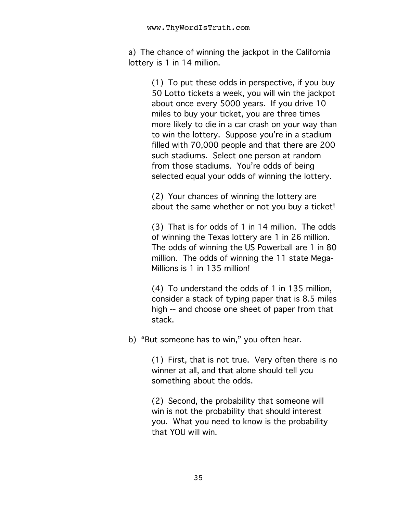a) The chance of winning the jackpot in the California lottery is 1 in 14 million.

> (1) To put these odds in perspective, if you buy 50 Lotto tickets a week, you will win the jackpot about once every 5000 years. If you drive 10 miles to buy your ticket, you are three times more likely to die in a car crash on your way than to win the lottery. Suppose you're in a stadium filled with 70,000 people and that there are 200 such stadiums. Select one person at random from those stadiums. You're odds of being selected equal your odds of winning the lottery.

(2) Your chances of winning the lottery are about the same whether or not you buy a ticket!

(3) That is for odds of 1 in 14 million. The odds of winning the Texas lottery are 1 in 26 million. The odds of winning the US Powerball are 1 in 80 million. The odds of winning the 11 state Mega-Millions is 1 in 135 million!

(4) To understand the odds of 1 in 135 million, consider a stack of typing paper that is 8.5 miles high -- and choose one sheet of paper from that stack.

b) "But someone has to win," you often hear.

(1) First, that is not true. Very often there is no winner at all, and that alone should tell you something about the odds.

(2) Second, the probability that someone will win is not the probability that should interest you. What you need to know is the probability that YOU will win.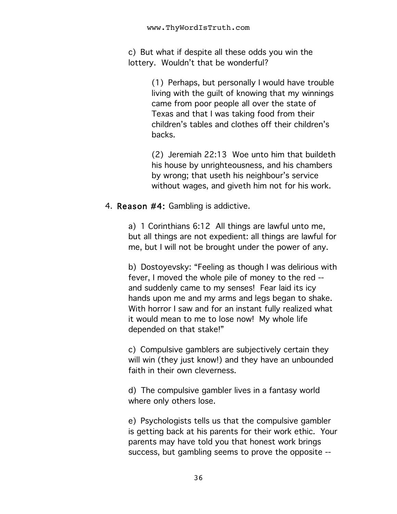c) But what if despite all these odds you win the lottery. Wouldn't that be wonderful?

> (1) Perhaps, but personally I would have trouble living with the guilt of knowing that my winnings came from poor people all over the state of Texas and that I was taking food from their children's tables and clothes off their children's backs.

> (2) Jeremiah 22:13 Woe unto him that buildeth his house by unrighteousness, and his chambers by wrong; that useth his neighbour's service without wages, and giveth him not for his work.

#### 4. Reason #4: Gambling is addictive.

a) 1 Corinthians 6:12 All things are lawful unto me, but all things are not expedient: all things are lawful for me, but I will not be brought under the power of any.

b) Dostoyevsky: "Feeling as though I was delirious with fever, I moved the whole pile of money to the red - and suddenly came to my senses! Fear laid its icy hands upon me and my arms and legs began to shake. With horror I saw and for an instant fully realized what it would mean to me to lose now! My whole life depended on that stake!"

c) Compulsive gamblers are subjectively certain they will win (they just know!) and they have an unbounded faith in their own cleverness.

d) The compulsive gambler lives in a fantasy world where only others lose.

e) Psychologists tells us that the compulsive gambler is getting back at his parents for their work ethic. Your parents may have told you that honest work brings success, but gambling seems to prove the opposite --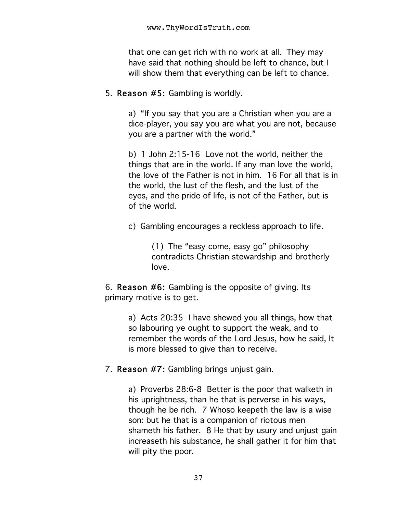that one can get rich with no work at all. They may have said that nothing should be left to chance, but I will show them that everything can be left to chance.

5. Reason #5: Gambling is worldly.

a) "If you say that you are a Christian when you are a dice-player, you say you are what you are not, because you are a partner with the world."

b) 1 John 2:15-16 Love not the world, neither the things that are in the world. If any man love the world, the love of the Father is not in him. 16 For all that is in the world, the lust of the flesh, and the lust of the eyes, and the pride of life, is not of the Father, but is of the world.

c) Gambling encourages a reckless approach to life.

(1) The "easy come, easy go" philosophy contradicts Christian stewardship and brotherly love.

6. Reason #6: Gambling is the opposite of giving. Its primary motive is to get.

> a) Acts 20:35 I have shewed you all things, how that so labouring ye ought to support the weak, and to remember the words of the Lord Jesus, how he said, It is more blessed to give than to receive.

7. Reason #7: Gambling brings unjust gain.

a) Proverbs 28:6-8 Better is the poor that walketh in his uprightness, than he that is perverse in his ways, though he be rich. 7 Whoso keepeth the law is a wise son: but he that is a companion of riotous men shameth his father. 8 He that by usury and unjust gain increaseth his substance, he shall gather it for him that will pity the poor.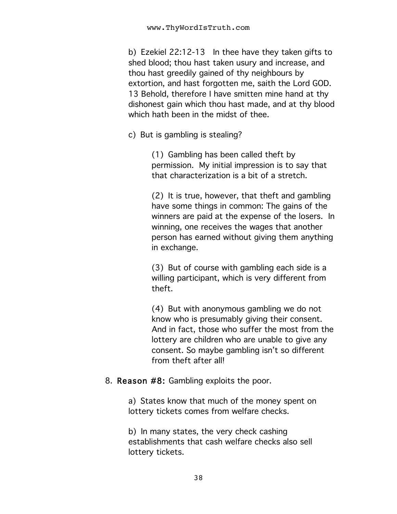b) Ezekiel 22:12-13 In thee have they taken gifts to shed blood; thou hast taken usury and increase, and thou hast greedily gained of thy neighbours by extortion, and hast forgotten me, saith the Lord GOD. 13 Behold, therefore I have smitten mine hand at thy dishonest gain which thou hast made, and at thy blood which hath been in the midst of thee.

c) But is gambling is stealing?

(1) Gambling has been called theft by permission. My initial impression is to say that that characterization is a bit of a stretch.

(2) It is true, however, that theft and gambling have some things in common: The gains of the winners are paid at the expense of the losers. In winning, one receives the wages that another person has earned without giving them anything in exchange.

(3) But of course with gambling each side is a willing participant, which is very different from theft.

(4) But with anonymous gambling we do not know who is presumably giving their consent. And in fact, those who suffer the most from the lottery are children who are unable to give any consent. So maybe gambling isn't so different from theft after all!

#### 8. Reason #8: Gambling exploits the poor.

a) States know that much of the money spent on lottery tickets comes from welfare checks.

b) In many states, the very check cashing establishments that cash welfare checks also sell lottery tickets.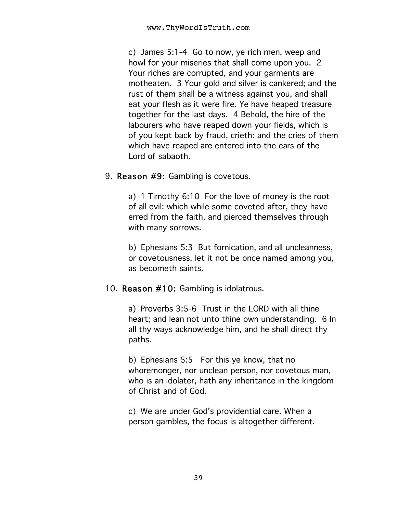c) James 5:1-4 Go to now, ye rich men, weep and howl for your miseries that shall come upon you. 2 Your riches are corrupted, and your garments are motheaten. 3 Your gold and silver is cankered; and the rust of them shall be a witness against you, and shall eat your flesh as it were fire. Ye have heaped treasure together for the last days. 4 Behold, the hire of the labourers who have reaped down your fields, which is of you kept back by fraud, crieth: and the cries of them which have reaped are entered into the ears of the Lord of sabaoth.

#### 9. Reason #9: Gambling is covetous.

a) 1 Timothy 6:10 For the love of money is the root of all evil: which while some coveted after, they have erred from the faith, and pierced themselves through with many sorrows.

b) Ephesians 5:3 But fornication, and all uncleanness, or covetousness, let it not be once named among you, as becometh saints.

#### 10. Reason #10: Gambling is idolatrous.

a) Proverbs 3:5-6 Trust in the LORD with all thine heart; and lean not unto thine own understanding. 6 In all thy ways acknowledge him, and he shall direct thy paths.

b) Ephesians 5:5 For this ye know, that no whoremonger, nor unclean person, nor covetous man, who is an idolater, hath any inheritance in the kingdom of Christ and of God.

c) We are under God's providential care. When a person gambles, the focus is altogether different.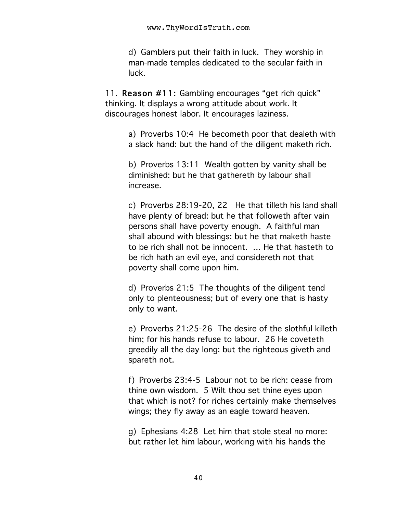d) Gamblers put their faith in luck. They worship in man-made temples dedicated to the secular faith in luck.

11. Reason #11: Gambling encourages "get rich quick" thinking. It displays a wrong attitude about work. It discourages honest labor. It encourages laziness.

> a) Proverbs 10:4 He becometh poor that dealeth with a slack hand: but the hand of the diligent maketh rich.

b) Proverbs 13:11 Wealth gotten by vanity shall be diminished: but he that gathereth by labour shall increase.

c) Proverbs 28:19-20, 22 He that tilleth his land shall have plenty of bread: but he that followeth after vain persons shall have poverty enough. A faithful man shall abound with blessings: but he that maketh haste to be rich shall not be innocent. … He that hasteth to be rich hath an evil eye, and considereth not that poverty shall come upon him.

d) Proverbs 21:5 The thoughts of the diligent tend only to plenteousness; but of every one that is hasty only to want.

e) Proverbs 21:25-26 The desire of the slothful killeth him; for his hands refuse to labour. 26 He coveteth greedily all the day long: but the righteous giveth and spareth not.

f) Proverbs 23:4-5 Labour not to be rich: cease from thine own wisdom. 5 Wilt thou set thine eyes upon that which is not? for riches certainly make themselves wings; they fly away as an eagle toward heaven.

g) Ephesians 4:28 Let him that stole steal no more: but rather let him labour, working with his hands the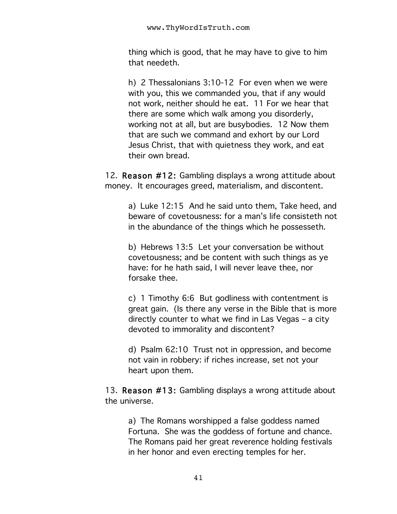thing which is good, that he may have to give to him that needeth.

h) 2 Thessalonians 3:10-12 For even when we were with you, this we commanded you, that if any would not work, neither should he eat. 11 For we hear that there are some which walk among you disorderly, working not at all, but are busybodies. 12 Now them that are such we command and exhort by our Lord Jesus Christ, that with quietness they work, and eat their own bread.

12. Reason #12: Gambling displays a wrong attitude about money. It encourages greed, materialism, and discontent.

> a) Luke 12:15 And he said unto them, Take heed, and beware of covetousness: for a man's life consisteth not in the abundance of the things which he possesseth.

b) Hebrews 13:5 Let your conversation be without covetousness; and be content with such things as ye have: for he hath said, I will never leave thee, nor forsake thee.

c) 1 Timothy 6:6 But godliness with contentment is great gain. (Is there any verse in the Bible that is more directly counter to what we find in Las Vegas – a city devoted to immorality and discontent?

d) Psalm 62:10 Trust not in oppression, and become not vain in robbery: if riches increase, set not your heart upon them.

13. Reason #13: Gambling displays a wrong attitude about the universe.

> a) The Romans worshipped a false goddess named Fortuna. She was the goddess of fortune and chance. The Romans paid her great reverence holding festivals in her honor and even erecting temples for her.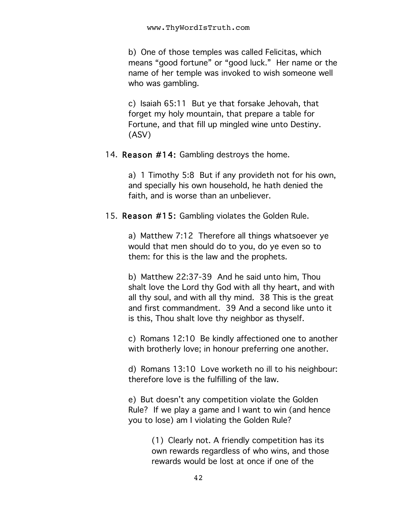b) One of those temples was called Felicitas, which means "good fortune" or "good luck." Her name or the name of her temple was invoked to wish someone well who was gambling.

c) Isaiah 65:11 But ye that forsake Jehovah, that forget my holy mountain, that prepare a table for Fortune, and that fill up mingled wine unto Destiny. (ASV)

#### 14. Reason #14: Gambling destroys the home.

a) 1 Timothy 5:8 But if any provideth not for his own, and specially his own household, he hath denied the faith, and is worse than an unbeliever.

15. Reason #15: Gambling violates the Golden Rule.

a) Matthew 7:12 Therefore all things whatsoever ye would that men should do to you, do ye even so to them: for this is the law and the prophets.

b) Matthew 22:37-39 And he said unto him, Thou shalt love the Lord thy God with all thy heart, and with all thy soul, and with all thy mind. 38 This is the great and first commandment. 39 And a second like unto it is this, Thou shalt love thy neighbor as thyself.

c) Romans 12:10 Be kindly affectioned one to another with brotherly love; in honour preferring one another.

d) Romans 13:10 Love worketh no ill to his neighbour: therefore love is the fulfilling of the law.

e) But doesn't any competition violate the Golden Rule? If we play a game and I want to win (and hence you to lose) am I violating the Golden Rule?

> (1) Clearly not. A friendly competition has its own rewards regardless of who wins, and those rewards would be lost at once if one of the